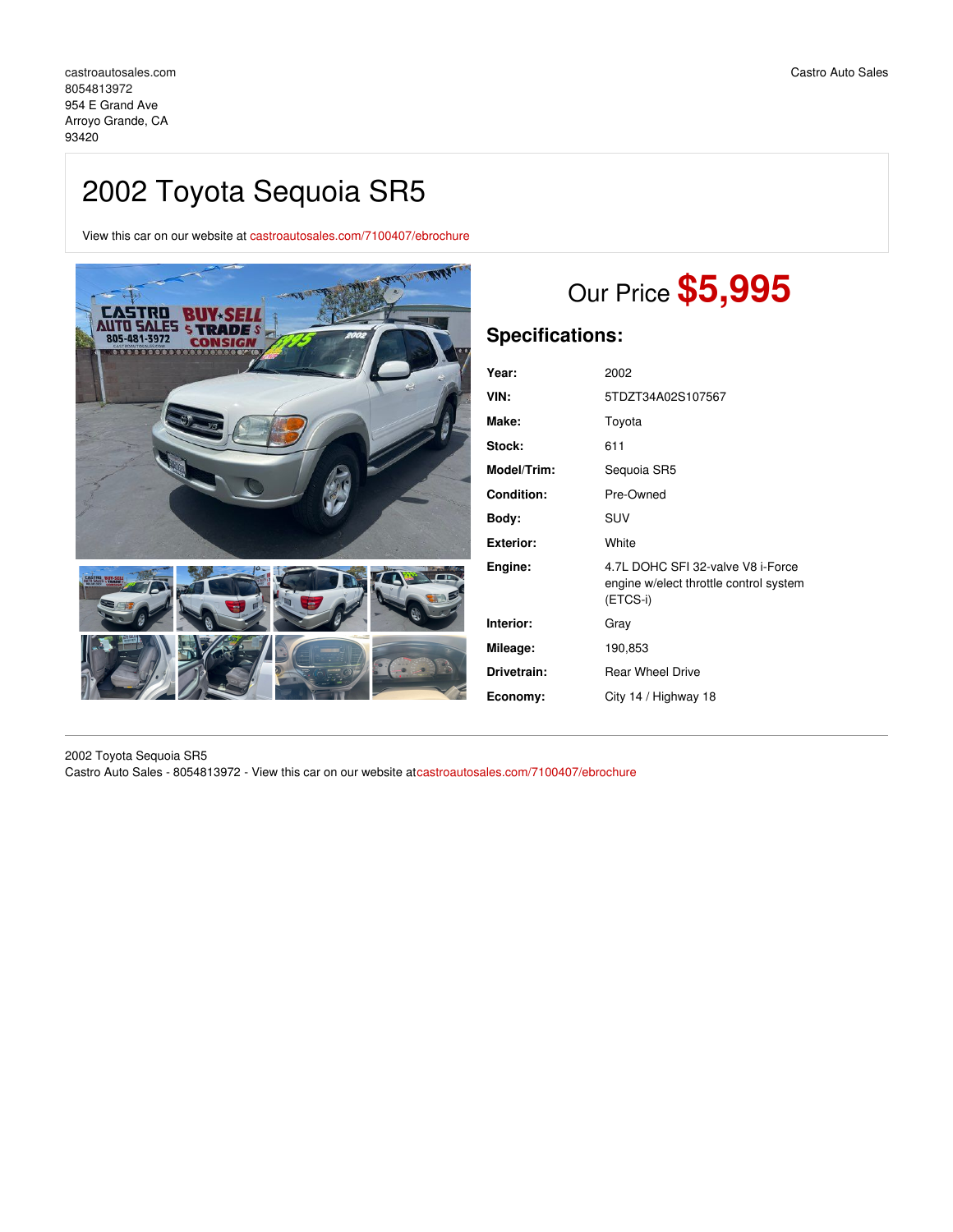## 2002 Toyota Sequoia SR5

View this car on our website at [castroautosales.com/7100407/ebrochure](https://castroautosales.com/vehicle/7100407/2002-toyota-sequoia-sr5-arroyo-grande-ca-93420/7100407/ebrochure)



# Our Price **\$5,995**

## **Specifications:**

| Year:              | 2002                                                                                    |
|--------------------|-----------------------------------------------------------------------------------------|
| VIN:               | 5TDZT34A02S107567                                                                       |
| Make:              | Toyota                                                                                  |
| Stock:             | 611                                                                                     |
| <b>Model/Trim:</b> | Sequoia SR5                                                                             |
| <b>Condition:</b>  | Pre-Owned                                                                               |
| Bodv:              | <b>SUV</b>                                                                              |
| <b>Exterior:</b>   | White                                                                                   |
| Engine:            | 4.7L DOHC SFI 32-valve V8 i-Force<br>engine w/elect throttle control system<br>(ETCS-i) |
| Interior:          | Gray                                                                                    |
| Mileage:           | 190,853                                                                                 |
| Drivetrain:        | <b>Rear Wheel Drive</b>                                                                 |
| Economy:           | City 14 / Highway 18                                                                    |
|                    |                                                                                         |

2002 Toyota Sequoia SR5 Castro Auto Sales - 8054813972 - View this car on our website at[castroautosales.com/7100407/ebrochure](https://castroautosales.com/vehicle/7100407/2002-toyota-sequoia-sr5-arroyo-grande-ca-93420/7100407/ebrochure)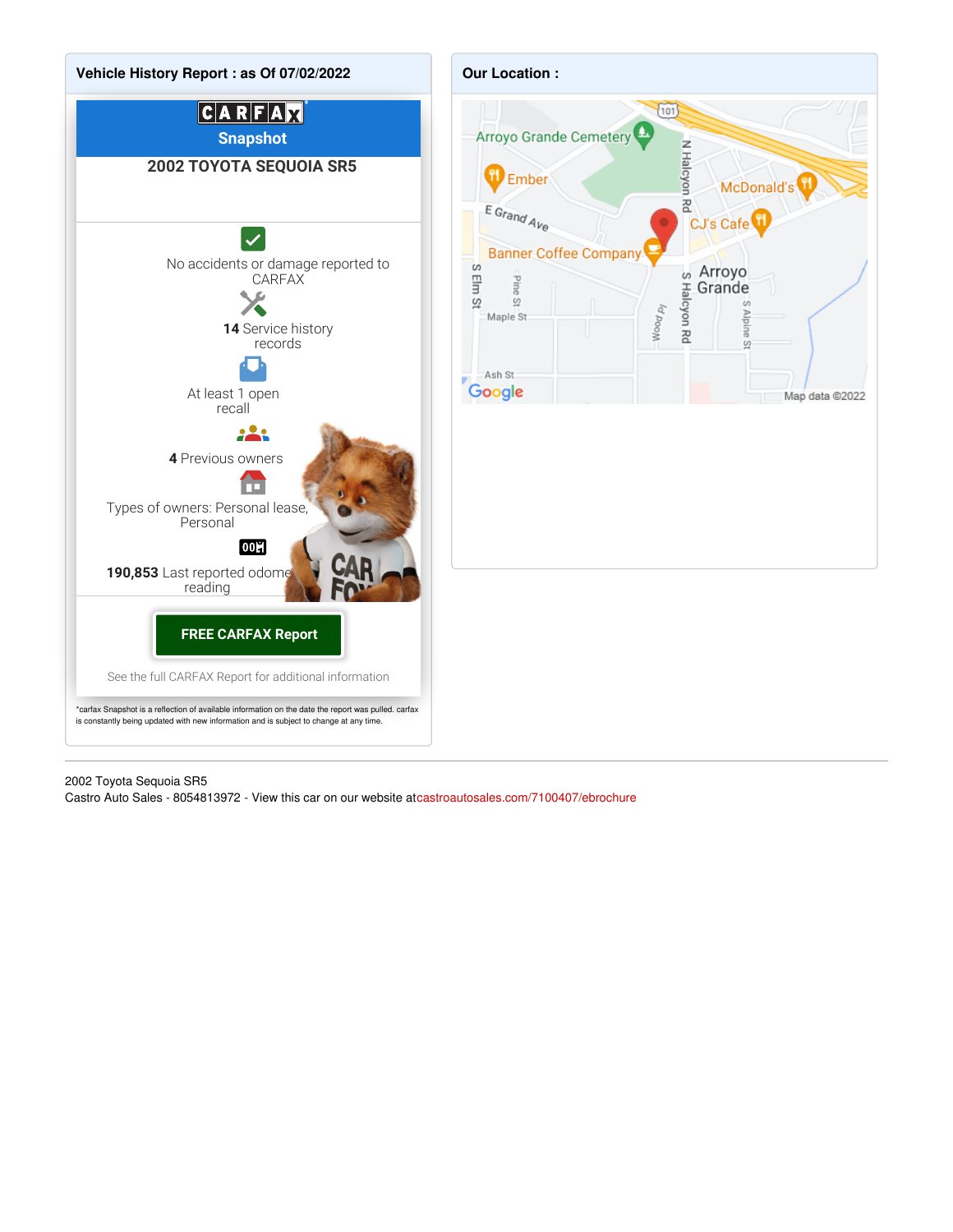

2002 Toyota Sequoia SR5

Castro Auto Sales - 8054813972 - View this car on our website at[castroautosales.com/7100407/ebrochure](https://castroautosales.com/vehicle/7100407/2002-toyota-sequoia-sr5-arroyo-grande-ca-93420/7100407/ebrochure)